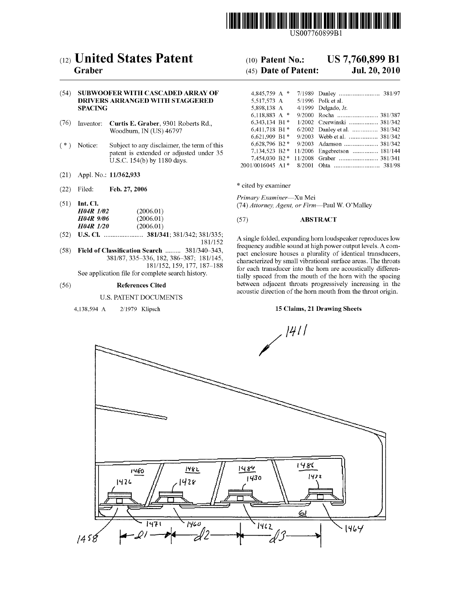

USOO7760899B1

## (54) SUBWOOFER WITH CASCADED ARRAY OF DRIVERS ARRANGED WITH STAGGERED<br>SPACING SPACING 5,898,138 A 4/1999 Delgado, Jr.

- (76) Inventor: Curtis E. Graber, 9301 Roberts Rd., Woodburn, IN (US) 46797
- (\*) Notice: Subject to any disclaimer, the term of this patent is extended or adjusted under 35 U.S.C. 154(b) by 1180 days.
- (21) Appl. No.: 11/362.933
- (22) Filed: Feb. 27, 2006
- (51) Int. Cl. H04R IM02 (2006.01)

| <b>H04R</b> 9/06 | (2006.01) |
|------------------|-----------|
| <b>H04R 1/20</b> | (2006.01) |
| ---              | ------    |

- (52) U.S. Cl. ....................... 381/341; 381/342: 381/335; 181/152
- (58) Field of Classification Search ......... 381/340-343, 381/87, 335-336, 182,386-387: 181/145, 181/152, 159, 177, 187-188 See application file for complete search history.

#### (56) References Cited

#### U.S. PATENT DOCUMENTS

4,138,594 A 2/1979 Klipsch

# (12) United States Patent (10) Patent No.: US 7,760,899 B1<br>Graber (45) Date of Patent: Jul. 20, 2010

## $(45)$  Date of Patent:

| 4,845,759 A      | * |        |                               |
|------------------|---|--------|-------------------------------|
| 5,517,573 A      |   |        | 5/1996 Polk et al.            |
| 5,898,138 A      |   |        | 4/1999 Delgado, Jr.           |
| 6.118.883 A $*$  |   |        | 9/2000 Rocha  381/387         |
| 6.343.134 B1*    |   |        | 1/2002 Czerwinski  381/342    |
| 6.411.718 B1*    |   |        | 6/2002 Danley et al.  381/342 |
| 6.621.909 B1*    |   |        | 9/2003 Webb et al.  381/342   |
| 6.628.796 B2*    |   |        | 9/2003 Adamson  381/342       |
| 7.134.523 B2 *   |   |        | 11/2006 Engebretson  181/144  |
| 7,454,030 B2 *   |   |        | 11/2008 Graber  381/341       |
| 2001/0016045 A1* |   | 8/2001 |                               |

\* cited by examiner

Primary Examiner-Xu Mei (74) Attorney, Agent, or Firm-Paul W. O'Malley

#### (57) ABSTRACT

A single folded, expanding horn loudspeaker reproduces low frequency audible Sound at high power output levels. A com pact enclosure houses a plurality of identical transducers, characterized by small vibrational surface areas. The throats for each transducer into the horn are acoustically differentially spaced from the mouth of the horn with the spacing between adjacent throats progressively increasing in the acoustic direction of the horn mouth from the throat origin.

## 15 Claims, 21 Drawing Sheets

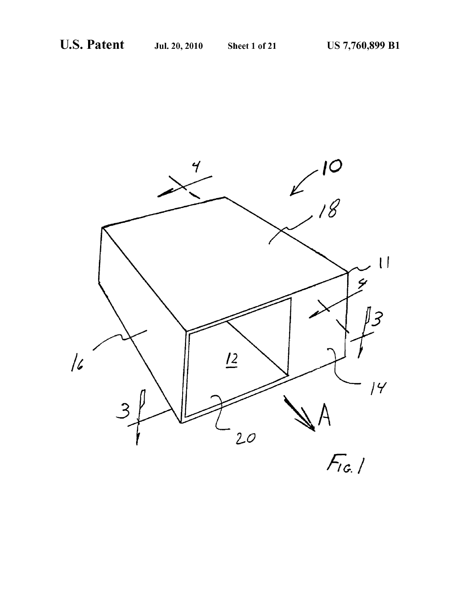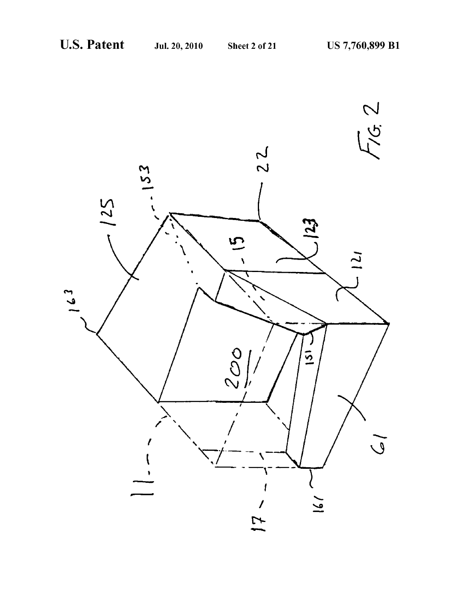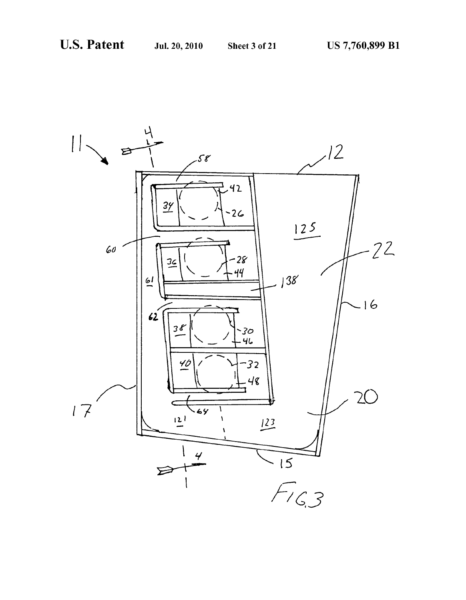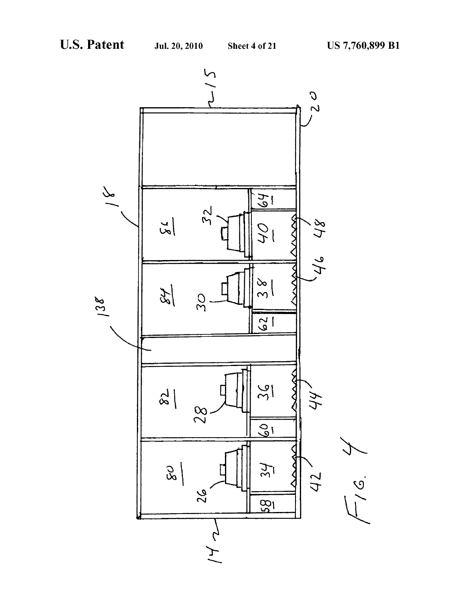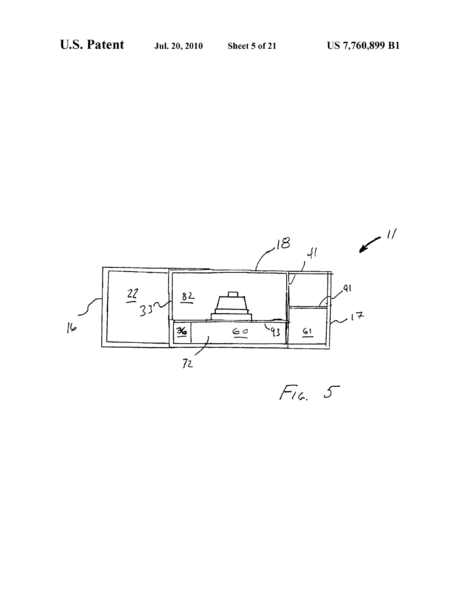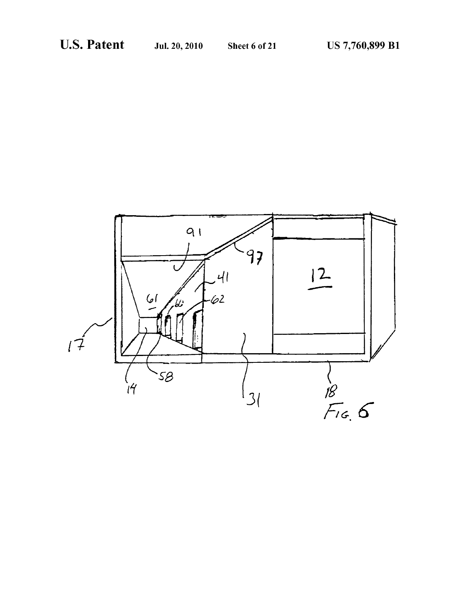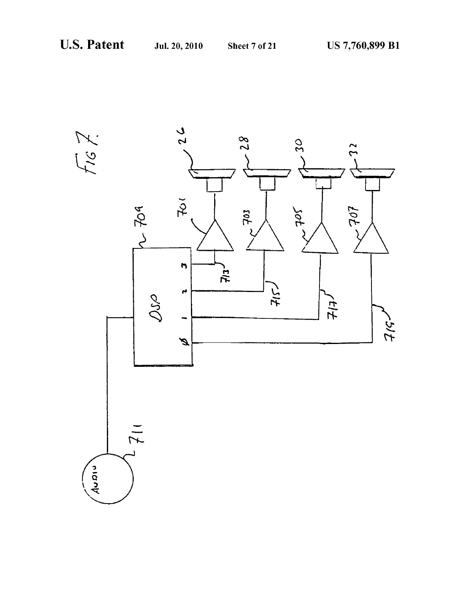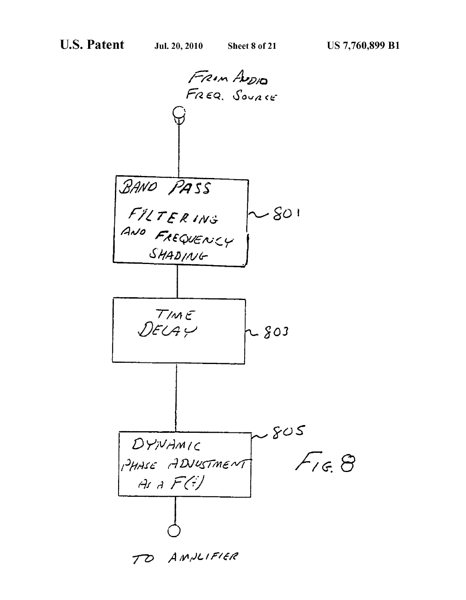FRIM AUDIO FREQ. SouRce BAND PASS FILTERING \\SOI<br>AND FREQUENCY  $T/ME$ DELAY  $h.803$ DYNAMIC<br>PHASE ADJUSTMENT FIG. 8 As  $A F(f)$ TO AMJLIFIER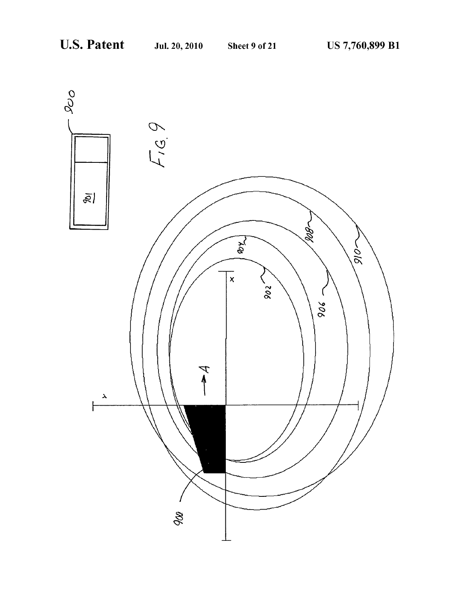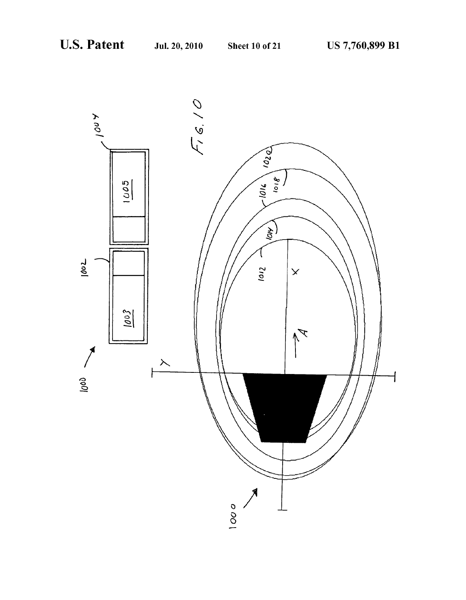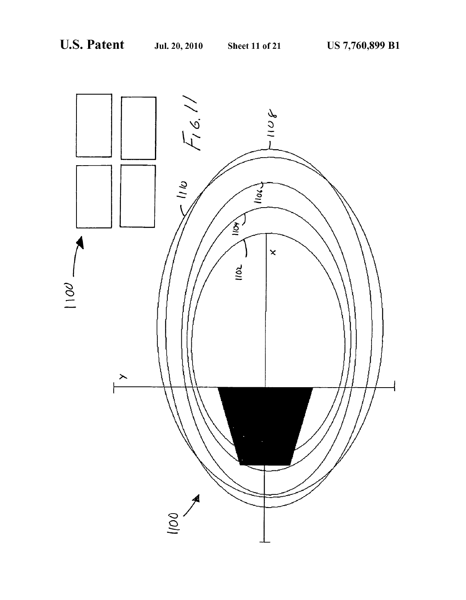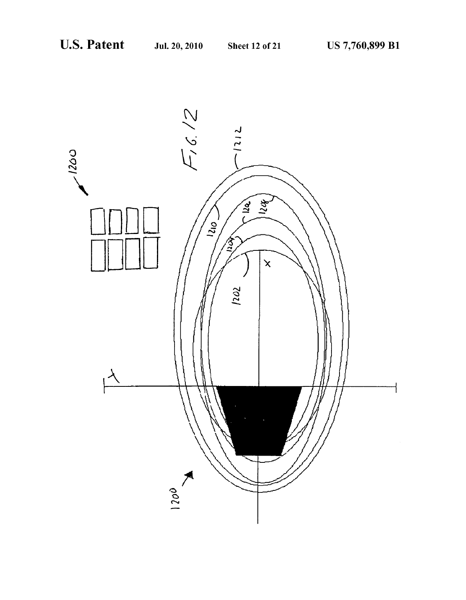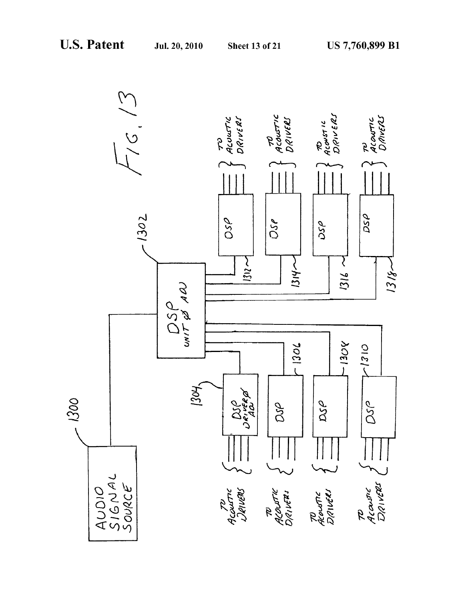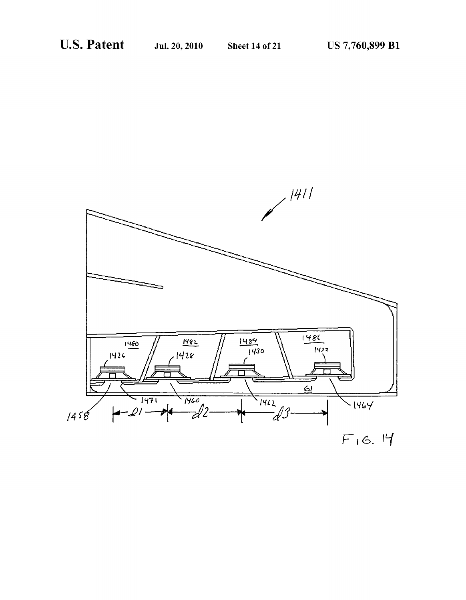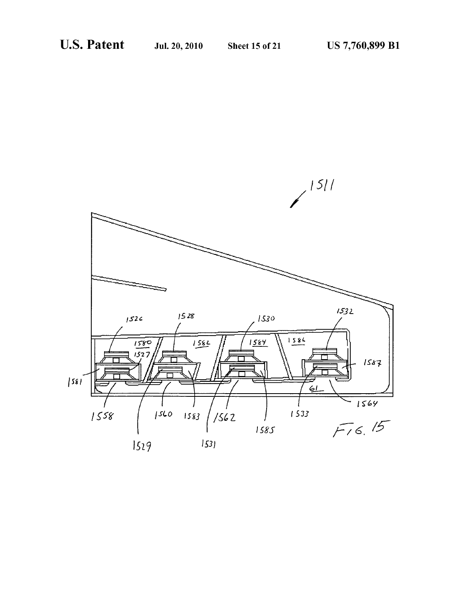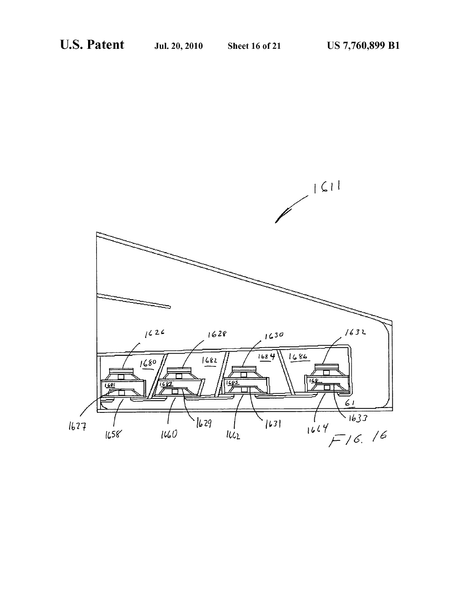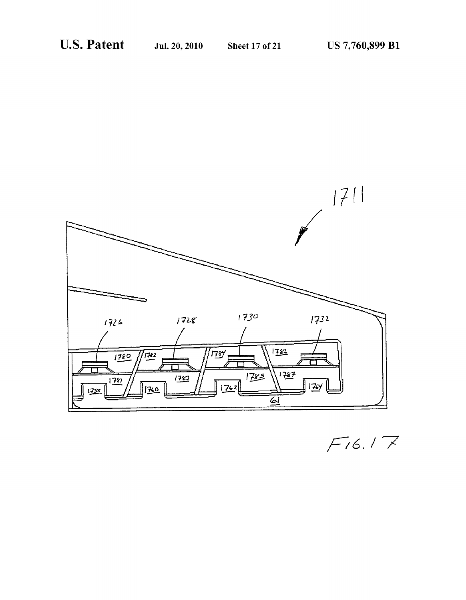

 $F16.17$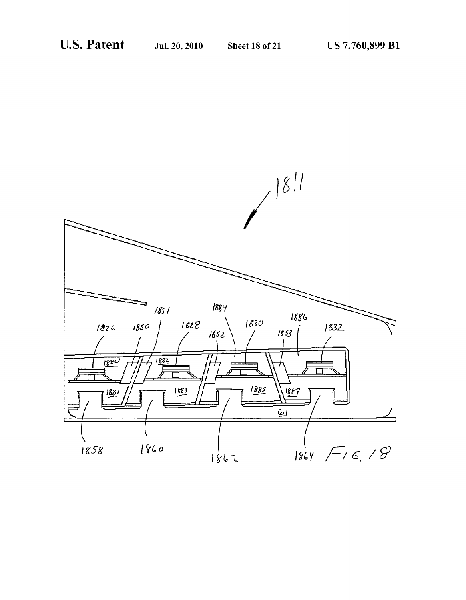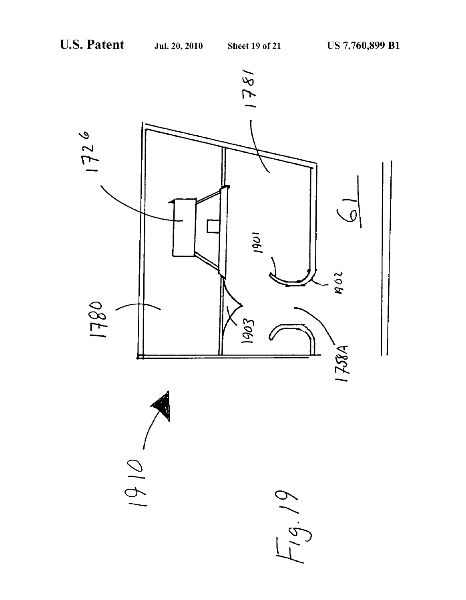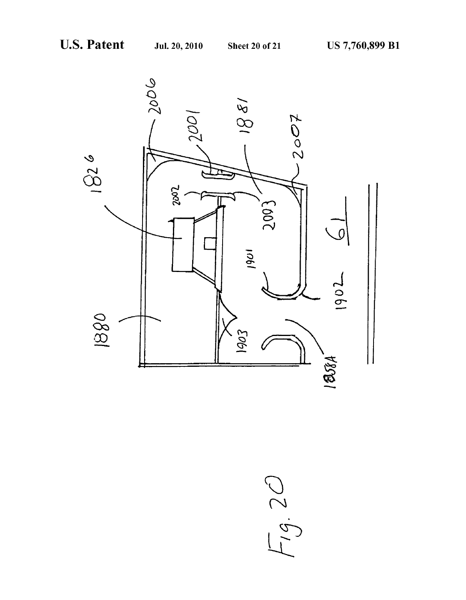

 $L_{19}$ .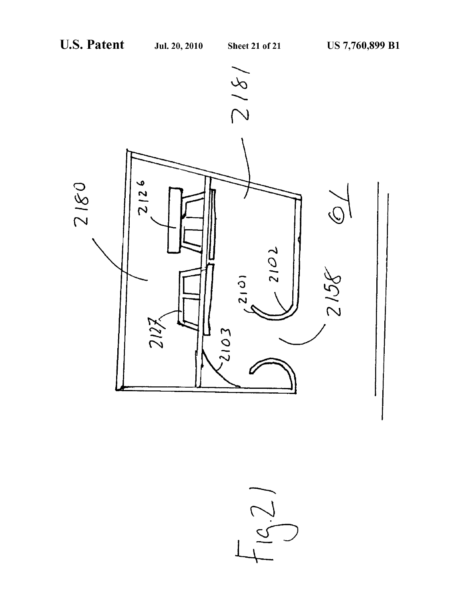

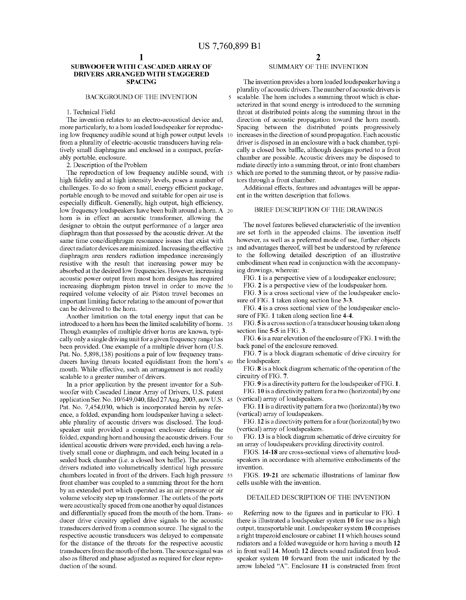$\overline{\mathbf{S}}$ 

#### SUBWOOFER WITH CASCADED ARRAY OF DRIVERS ARRANGED WITH STAGGERED SPACING

#### BACKGROUND OF THE INVENTION

1. Technical Field

The invention relates to an electro-acoustical device and, more particularly, to a horn loaded loudspeaker for reproduc ing low frequency audible sound at high power output levels 10 from a plurality of electric-acoustic transducers having rela tively small diaphragms and enclosed in a compact, prefer ably portable, enclosure.

2. Description of the Problem

The reproduction of low frequency audible sound, with 15 high fidelity and at high intensity levels, poses a number of challenges. To do so from a small, energy efficient package, portable enough to be moved and Suitable for open air use is especially difficult. Generally, high output, high efficiency, low frequency loudspeakers have been built around a horn. A horn is in effect an acoustic transformer, allowing the designer to obtain the output performance of a larger area diaphragm than that possessed by the acoustic driver. At the same time cone/diaphragm resonance issues that exist with direct radiator devices are minimized. Increasing the effective 25 diaphragm area renders radiation impedance increasingly resistive with the result that increasing power may be absorbed at the desired low frequencies. However, increasing absorbed at the desired low frequencies. However, increasing acoustic power output from most horn designs has required increasing diaphragm piston travel in order to move the 30 required volume velocity of air. Piston travel becomes an important limiting factor relating to the amount of power that can be delivered to the horn.

Another limitation on the total energy input that can be introduced to a horn has been the limited scalability of horns. 35 Though examples of multiple driver horns are known, typi cally only a single driving unit foragiven frequency range has been provided. One example of a multiple driver horn (U.S. Pat. No. 5,898,138) positions a pair of low frequency trans ducers having throats located equidistant from the horn's 40 mouth. While effective, such an arrangement is not readily scalable to a greater number of drivers.

In a prior application by the present inventor for a Subwoofer with Cascaded Linear Array of Drivers, U.S. patent woofer with Cascaded Linear Array of Drivers, U.S. patent application Ser. No. 10/649,040, filed 27 Aug. 2003, now U.S. 45 Pat. No. 7,454,030, which is incorporated herein by reference, a folded, expanding horn loudspeaker having a select able plurality of acoustic drivers was disclosed. The loud speaker unit provided a compact enclosure defining the folded, expanding horn and housing the acoustic drivers. Four 50 identical acoustic drivers were provided, each having a rela tively small cone or diaphragm, and each being located in a sealed back chamber (i.e. a closed box baffle). The acoustic drivers radiated into volumetrically identical high pressure chambers located in front of the drivers. Each high pressure 55 front chamber was coupled to a summing throat for the horn by an extended port which operated as an air pressure or air volume velocity step up transformer. The outlets of the ports were acoustically spaced from one another by equal distances and differentially spaced from the mouth of the horn. Trans- 60 ducer drive circuitry applied drive signals to the acoustic transducers derived from a common source. The signal to the respective acoustic transducers was delayed to compensate for the distance of the throats for the respective acoustic transducers from the mouth of the horn. The source signal was 65 also as filtered and phase adjusted as required for clear repro duction of the sound.

#### SUMMARY OF THE INVENTION

The invention provides a horn loaded loudspeaker having a plurality of acoustic drivers. The number of acoustic drivers is scalable. The horn includes a summing throat which is characterized in that sound energy is introduced to the summing throat at distributed points along the summing throat in the direction of acoustic propagation toward the horn mouth. Spacing between the distributed points progressively increases in the direction of sound propagation. Each acoustic cally a closed box baffle, although designs ported to a front chamber are possible. Acoustic drivers may be disposed to radiate directly into a Summing throat, or into front chambers which are ported to the summing throat, or by passive radiators through a front chamber.

Additional effects, features and advantages will be appar ent in the written description that follows.

#### BRIEF DESCRIPTION OF THE DRAWINGS

The novel features believed characteristic of the invention are set forth in the appended claims. The invention itself however, as well as a preferred mode of use, further objects and advantages thereof, will best be understood by reference to the following detailed description of an illustrative embodiment when read in conjunction with the accompanying drawings, wherein:

FIG. 1 is a perspective view of a loudspeaker enclosure;

FIG. 2 is a perspective view of the loudspeaker horn.

FIG. 3 is a cross sectional view of the loudspeaker enclo sure of FIG. 1 taken along section line 3-3.

FIG. 4 is a cross sectional view of the loudspeaker enclo sure of FIG. 1 taken along section line 4-4.

FIG.5 is a cross section of a transducer housing taken along section line 5-5 in FIG. 3.

FIG. 6 is a rear elevation of the enclosure of FIG. 1 with the back panel of the enclosure removed.

FIG. 7 is a block diagram schematic of drive circuitry for the loudspeaker.

FIG. 8 is a block diagram schematic of the operation of the circuitry of FIG. 7.

FIG.9 is a directivity pattern for the loudspeaker of FIG.1. FIG.10 is a directivity pattern for a two (horizontal) by one

(vertical) array of loudspeakers. FIG.11 is a directivity pattern for a two (horizontal) by two

(vertical) array of loudspeakers. FIG. 12 is a directivity pattern for a four (horizontal) by two (vertical) array of loudspeakers.

FIG. 13 is a block diagram schematic of drive circuitry for an array of loudspeakers providing directivity control.

FIGS. 14-18 are cross-sectional views of alternative loud speakers in accordance with alternative embodiments of the invention.

FIGS. 19-21 are schematic illustrations of laminar flow cells usable with the invention.

#### DETAILED DESCRIPTION OF THE INVENTION

Referring now to the figures and in particular to FIG. 1 there is illustrated a loudspeaker system 10 for use as a high output, transportable unit. Loudspeaker system 10 comprises a right trapezoid enclosure or cabinet 11 which houses sound radiators and a folded waveguide or horn having a mouth 12 in front wall 14. Mouth 12 directs sound radiated from loud-<br>speaker system 10 forward from the unit indicated by the arrow labeled "A". Enclosure 11 is constructed from front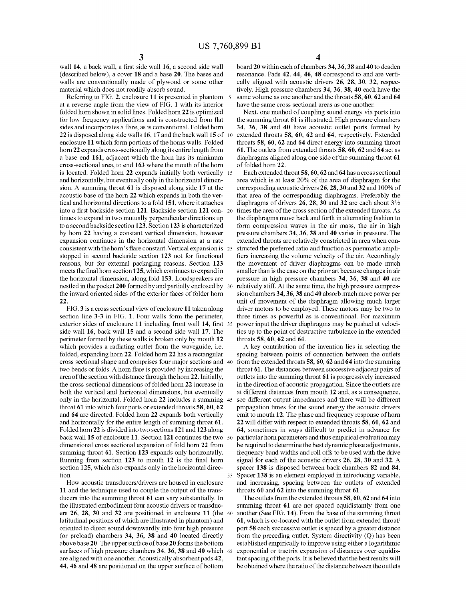wall 14, a back wall, a first side wall 16, a second side wall (described below), a cover 18 and a base 20. The bases and walls are conventionally made of plywood or some other material which does not readily absorb sound.

Referring to FIG. 2, enclosure 11 is presented in phantom 5 at a reverse angle from the view of FIG. 1 with its interior folded horn shown in solid lines. Folded horn 22 is optimized for low frequency applications and is constructed from flat sides and incorporates a flare, as is conventional. Folded horn 22 is disposed along side walls 16, 17 and the back wall 15 of  $10$ enclosure 11 which form portions of the horns walls. Folded horn 22 expands cross-sectionally along its entire length from a base end 161, adjacent which the horn has its minimum cross-sectional area, to end 163 where the mouth of the horn is located. Folded horn 22 expands initially both vertically 15 and horizontally, but eventually only in the horizontal dimension. A summing throat 61 is disposed along side 17 at the acoustic base of the horn 22 which expands in both the vertical and horizontal directions to a fold 151, where it attaches into a first backside section 121. Backside section 121 con-20 tinues to expand in two mutually perpendicular directions up to a second backside section 123. Section 123 is characterized by horn 22 having a constant vertical dimension, however expansion continues in the horizontal dimension at a rate consistent with the horn's flare constant. Vertical expansion is 25 stopped in second backside section 123 not for functional reasons, but for external packaging reasons. Section 123 meets the final horn section 125, which continues to expand in the horizontal dimension, along fold 153. Loudspeakers are nestled in the pocket 200 formed by and partially enclosed by the inward oriented sides of the exterior faces of folder horn 22.

FIG. 3 is a cross sectional view of enclosure 11 taken along section line 3-3 in FIG. 1. Four walls form the perimeter, exterior sides of enclosure 11 including front wall 14, first 35 side wall 16, back wall 15 and a second side wall 17. The perimeter formed by these walls is broken only by mouth 12 which provides a radiating outlet from the waveguide, i.e. folded, expanding horn 22. Folded horn 22 has a rectangular cross sectional shape and comprises four major sections and 40 two bends or folds. A horn flare is provided by increasing the area of the section with distance through the horn 22. Initially, the cross-sectional dimensions of folded horn 22 increase in both the vertical and horizontal dimensions, but eventually only in the horizontal. Folded horn 22 includes a summing 45 throat 61 into which four ports or extended throats 58, 60, 62 and 64 are directed. Folded horn 22 expands both vertically and horizontally for the entire length of summing throat 61. Folded horn 22 is divided into two sections 121 and 123 along back wall 15 of enclosure 11. Section 121 continues the two 50 dimensional cross sectional expansion of fold horn 22 from summing throat 61. Section 123 expands only horizontally. Running from section 123 to mouth 12 is the final horn section 125, which also expands only in the horizontal direc-55 tion

How acoustic transducers/drivers are housed in enclosure 11 and the technique used to couple the output of the transducers into the summing throat 61 can vary substantially. In the illustrated embodiment four acoustic drivers or transducers 26, 28, 30 and 32 are positioned in enclosure 11 (the 60 latitudinal positions of which are illustrated in phantom) and oriented to direct sound downwardly into four high pressure (or preload) chambers 34, 36, 38 and 40 located directly above base 20. The upper surface of base 20 forms the bottom surfaces of high pressure chambers 34, 36, 38 and 40 which 65 are aligned with one another. Acoustically absorbent pads 42, 44, 46 and 48 are positioned on the upper surface of bottom

 $\boldsymbol{\mathcal{A}}$ 

board 20 within each of chambers 34, 36, 38 and 40 to deaden resonance. Pads 42, 44, 46, 48 correspond to and are vertically aligned with acoustic drivers 26, 28, 30, 32, respectively. High pressure chambers 34, 36, 38, 40 each have the same volume as one another and the throats 58, 60, 62 and 64 have the same cross sectional areas as one another.

Next, one method of coupling sound energy via ports into the summing throat 61 is illustrated. High pressure chambers 34, 36, 38 and 40 have acoustic outlet ports formed by extended throats 58, 60, 62 and 64, respectively. Extended throats  $58, 60, 62$  and  $64$  direct energy into summing throat 61. The outlets from extended throats 58, 60, 62 and 64 act as diaphragms aligned along one side of the summing throat 61 of folded horn 22.

Each extended throat 58, 60, 62 and 64 has a cross sectional area which is at least 20% of the area of diaphragm for the corresponding acoustic drivers 26, 28, 30 and 32 and 100% of that area of the corresponding diaphragms. Preferably the diaphragms of drivers 26, 28, 30 and 32 are each about  $3\frac{1}{2}$ times the area of the cross section of the extended throats. As the diaphragms move back and forth in alternating fashion to form compression waves in the air mass, the air in high pressure chambers 34, 36, 38 and 40 varies in pressure. The extended throats are relatively constricted in area when constructed the preferred ratio and function as pneumatic amplifiers increasing the volume velocity of the air. Accordingly the movement of driver diaphragms can be made much smaller than is the case on the prior art because changes in air pressure in high pressure chambers 34, 36, 38 and 40 are relatively stiff. At the same time, the high pressure compression chambers 34, 36, 38 and 40 absorb much more power per unit of movement of the diaphragm allowing much larger driver motors to be employed. These motors may be two to three times as powerful as is conventional. For maximum power input the driver diaphragms may be pushed at velocities up to the point of destructive turbulence in the extended throats 58, 60, 62 and 64.

A key contribution of the invention lies in selecting the spacing between points of connection between the outlets from the extended throats  $58, 60, 62$  and  $64$  into the summing throat 61. The distances between successive adjacent pairs of outlets into the summing throat 61 is progressively increased in the direction of acoustic propagation. Since the outlets are at different distances from mouth 12 and, as a consequence, see different output impedances and there will be different propagation times for the sound energy the acoustic drivers emit to mouth 12. The phase and frequency response of horn 22 will differ with respect to extended throats 58, 60, 62 and 64, sometimes in ways difficult to predict in advance for particular horn parameters and thus empirical evaluation may be required to determine the best dynamic phase adjustments, frequency band widths and roll offs to be used with the drive signal for each of the acoustic drivers 26, 28, 30 and 32. A spacer 138 is disposed between back chambers 82 and 84. Spacer 138 is an element employed in introducing variable, and increasing, spacing between the outlets of extended throats  $60$  and  $62$  into the summing throat  $61$ .

The outlets from the extended throats 58, 60, 62 and 64 into summing throat 61 are not spaced equidistantly from one another (See FIG. 14). From the base of the summing throat 61, which is co-located with the outlet from extended throat/ port 58 each successive outlet is spaced by a greater distance from the preceding outlet. System directivity  $(Q)$  has been established empirically to improve using either a logarithmic exponential or tractrix expansion of distances over equidistant spacing of the ports. It is believed that the best results will be obtained where the ratio of the distance between the outlets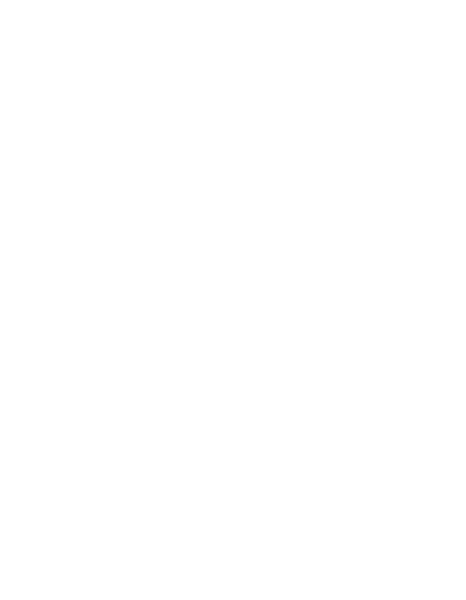$10$ 

for port  $62$  and port  $60$  over the distance between the outlets for port  $60$  to  $58$  is 4:3 and the ratio of the distance between outlets from ports 60 and 62 to the distance between outlets for ports  $62$  and  $60$  is 3:2. In a loudspeaker intended for bass audio reproduction the spacing between throats 58 and 60 may be set at 24 inches, between throats 60 and 62 at 32 inches and between throats 62 and 64 at 48 inches. The better distance ratios between successive adjacent pairs of outlets may depend upon the expansion function of the horn in the direction of acoustic propagation.

Referring to FIG. 4, which is a cross sectional view taken along section line 4-4 in FIGS. 1 and 2 and to FIG. 5, which is view taken into enclosure 11 along section line 5-5 in FIG. 4, the positioning of acoustic drivers 26, 28, 30, 32 over high pressure chambers 34, 36, 38 and 40 is illustrated. Acoustic 15 drivers 26, 28, 30, 32 are housed in sealed back chambers 80, 82, 84 and 86, respectively. The term "sealed" as used here has its conventional meaning in the acoustical arts to mean that the back chambers have no acoustic outlet port. The only acoustic opening from sealed back chambers 80, 82, 84 and 20 86 are those directly in front of the diaphragms of acoustic drivers 26, 28, 30 and 32. Back chambers 80, 82, 84 and 86 slowly exchange air with their ambient environment, as is conventional. Other embodiments may make use of a port from the back chamber to the front chamber as described 25 below.

In FIG. 5 the position of extended throat 60 adjacent and parallel to wall 72 illustrates the coupling mechanism for a representative high pressure chamber 36 through its extended throat  $60$  and further into summing throat  $61$ . Because the  $30$ upper cover section 91 is not horizontal, but slants upwardly from the base of summing throat 61 toward the back wall 15, the outlet from extended throats into summing throat 61 differs for each extended throat. Extended throat 60 includes some freeboard on wall 41 above the outlet and below upper 35 cover section 91. As illustrated in FIG. 6 and described with reference to the figure below, the amount of freeboard for each port will differ. Acoustic driver 28 rests on a support plane 93. Sealed back chamber 82, like the remaining back chambers, is closed on one side by a planer wall 95.

Referring now to FIG. 6, which is an end view of enclosure 11 with back wall 15 removed, the interior of folded horn 22 is illustrated in greater detail, particularly the summing throat 61. Summing throat 61 is formed by portions of side wall 17, cover 91, base 18 and wall 41. Summing throat 61 collects 45 sound output from the four throat extension sections 58, 60, 62, 64, the radiating outlets of which are visible along a side of summing section 61 defined by vertical wall 41. The surfaces forming summing throat 61 diverge from one another moving toward the back wall 15 from the base of the horn 50 along front wall 14. The divergence of the upper and lower surfaces of folded horn 22 is provided in the upward slant of board 97. While the output port from extended throat 58 has a vertical extent substantially equal to the local height of summing throat 61, the outlets of downstream extended 55 throats 60, 62 and 64, which are all of the same height, will have increasing amounts of freeboard, particularly in view of the increasing spacing between throats in the direction of acoustic propagation.

Any given horn has differing horizontal and polar fre- 60 quency responses. And while a horn may operate well at certain frequencies its performance can degrade markedly at other frequencies. These changes in performance are highly dependent on the length of the horn. While each of transducers  $26, 28, 30, 32$  is coupled to the folded horn by an identical 65 high pressure chamber and extended throat, the extended throats in  $58, 60, 62$  and  $64$  are coupled to summing junction

6

61 at points which are differently spaced from the mouth 12. In other words, horn 22 will have different performance characteristics for each transducer including a different optimal frequency operating range. Accordingly, each driver circuit differentially treats the signal applied to each transducer.

Producing sound of maximum intensity from loudspeaker system 10 requires that acoustic pressure waves from the outlets of extended throats be synchronized at the points where they merge. Due to the different distances sound travels to reach mouth 12 from the outlets from extended throats 58, 60, 62 and 64, the drive signal applied to transducers  $26$ ,  $28$ , 30, 32 is time differentiated so that the sound waves constructively reinforce one another in summing section 61 rather than cancel or destructively interfere with one another. While the same signal is the genesis of the signal used to drive each of the four transducers 26, 28, 30, 32, this source signal must be processed differently before application to the respective transducers' voice coils to assure good phase matching at the mouth 12 and a good match of output from the extended throats 58, 60, 62 and 64 to the frequency response characteristic of folded horn 22 for a given outlet port from one of extended throats 58, 60, 62 and 64. The signal for the transducer associated with the throat radiating end removed by the greatest distance from mouth 12 is delayed least, while the signal driving the transducer associated with the throat radiating end closest to mouth 12 is delayed by the greatest period. Differences in impedance matching of the extended throat for each driver to summing section 61 require some band pass filtering and shading of the source signal for optimal system performance. The source signal may require dynamic phrase adjustment (i.e. adjustment of the signal phase as a function of frequency) of the source signal due to the frequency response characteristics of the horn which vary with frequency at each extended throat outlet port. Where the point of origin may be considered as having a 0 ms delay and straight phase settings, the acoustic driver 28 for a loudspeaker the previously given dimensions is driven with a delay of 1.77083 ms and a band limited phase adjustment to  $_{40}$  coincide arrival linearity with the point of origin. Similarly, acoustic driver 30 is driven with a 4.14583 ms delay and acoustic driver 32 is driven with a 7.6875 ms delay.

Referring to FIGS. 7 and 8, a common source 711 of audio frequency signals is applied to four inputs of a digital signal processor (DSP) 709 which differentially processes the signals to accommodate the relative positions of acoustical drivers 26, 28, 30, 32. DSP 709 provides the four differentiated outputs on each of four channels 713, 715, 717, 719 to four amplifiers 701, 703, 705 and 707 associated with acoustical drivers 26, 28, 30, 32. In general, the input signal is processed in the same general way for all four channels, with only the parameters applied by the processing steps changing. For each channel, the signal is fed through a band pass filter 801 which passes frequency ranges best handled by a particular horn/driver configuration. Typically, the broadest band of frequencies is applied to the acoustic driver couple to the summing junction 61 at the furthest point from mouth 12. The roll off of the signal range applied to a driver may also be adjusted. Next, the filtered signal is applied to a time delay 803 which synchronizes the signals based on the differing distances of the speakers from the horn mouth. Lastly, the filtered, delayed signal for a channel is applied to a dynamic phase adjustment module 805, which adjusts the phase of the signal as a function of frequency. The specific parameters used will change along with changes in horn dimensions and the number of transducers used. DSP processing and discrete amplifier channels could be external of the horn module or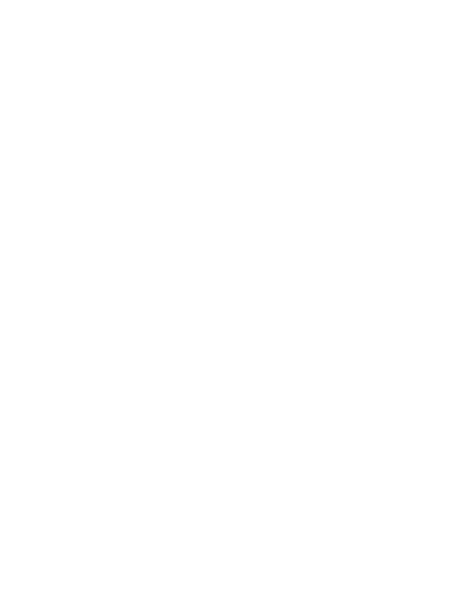10

25

reside internally allowing for easy in-field set-up as all internally required settings could be stored in each modular system for quick in-field set-up.

Referring to FIG. 9 the horizontal dispersion pattern for a single loudspeaker unit 900 positioned on the ground is illustrated. The arrow labeled "A" indicates the orientation of the loudspeaker mouth 901. The -6 dB lines 902, 904, 906, 908 and 910 for the frequencies 25, 35, 45, 65 and 90 Hz are shown. It may be seen that the dispersion pattern is hypercardiod but asymmetric.

Referring to FIG. 10 the horizontal dispersion pattern for a array 1000 comprising a pair of loudspeakers 1002, 1004 disposed in a two horizontal by one vertical arrangement is shown. The mouths 1003, 1004 of the loudspeakers are oriented in the array 1000 in the direction A to produce the 15 symmetric dispersion pattern illustrated with -6 dB lines 1012, 1014, 1016, 1018 and 1020 for the same set of frequencies as above. The dispersion patterns are hypercardiod.

Referring to FIG. 11 the horizontal dispersion pattern for a array 1100 comprising four loudspeakers disposed in a two 20 horizontal by two vertical arrangement. A symmetric dispersion pattern illustrated with  $-6$  dB lines 1102, 1104, 1106, 1108 and 1110 for the same set of frequencies as above. The dispersion patterns are hypercardiod and tighter than those for the two by one array.

Referring to FIG. 12 the horizontal dispersion pattern for a array 1100 comprising eight loudspeakers disposed in a two horizontal by four vertical arrangement. A symmetric dispersion pattern illustrated with -6 dB lines 1202, 1204, 1206, 1208 and 1210 for the same set of frequencies as above. The 30 dispersion patterns are hypercardiod and tighter than those for the two by one array and the two by two array.

Arrays of loudspeakers allow for introduction of steering focusing of the sound field generated by the coordinated operation of the individual units in the array. Steering focus- 35 ing can be in both the vertical and the horizontal plane (provided that there is a plurality of loudspeakers both horizontally or vertically) and is done by varying phase and timing relationships between the loudspeaker units. Where the loudspeaker units are of the type disclosed in the present invention 40 such phase and timing control DSP 1302 must be combined with the phase and timing control DSP 1304 exercised over the individual drivers in the loudspeaker units. Referring to FIG. 13 a block diagram schematic of a possible control arrangement is shown with an audio signal source 1300 pro- 45 viding a first digital signal processor (DSP) 1302 with an input signal which it splits eight ways to apply phase and timing, frequency processing to each of the loudspeakers in the four by two array 1200 illustrated in FIG. 12 to achieve sound field steering. Eight additional DSPs 1302-1318 pro- 50 vide phase/timing differentiation within a loudspeaker unit.

FIGS. 14-18 illustrate variations in installation of acoustic drivers and in coupling sound output from the drivers into the summing throat 61 of a series of enclosures 1411, 1511, 1611, 1711 and 1811. Enclosure 1411 illustrates a second order 55 direct drive embodiment in which acoustic drivers 1426, 1428, 1430 and 1432 are set in sealed back chambers 1480, 1482, 1484 and 1486 and mounted to radiate through output ports (essentially shallow beveled edge throats) 1458, 1460, 1462 and 1464 directly into a summing throat 61. The dis- 60 tances d1, d2 and d3 between successive pairs of output ports could progressively increase.

Enclosure 1511 illustrates a second order isobaric configuration in which a first set of acoustic drivers 1526, 1528, 1530 and 1532 are set in sealed back chambers 1580, 1582, 1584 and 1586 and are mounted to radiate into front chambers 1581, 1583, 1585 and 1587 and into the obverse sides of a

second set of acoustic drivers 1527, 1529, 1531 and 1533 which are directly ported through output ports (essentially shallow beveled edge throats) 1558, 1560, 1562 and 1564 directly into a summing throat 61. The volumes of the front chambers 1581, 1583, 1585 and 1587 are tuned. Enclosure 1511 tunes to a lower frequency than the embodiment of FIG. 14. The front and rear drivers for each port are synchronized.

Enclosure 1611 illustrates a another second order isobaric configuration in which a set of acoustic drivers 1626, 1628, 1630 and 1632 are set in sealed back chambers 1680, 1682, 1684 and 1686 and are mounted to radiate into front chambers 1681, 1683, 1685 and 1687 and into the obverse sides of a set of mass tuned passive radiating elements 1627, 1629, 1631 and 1633 which are directly ported through output ports (essentially shallow beveled edge throats) 1658, 1660, 1662 and 1664 directly into a summing throat 61. The volumes of the front chambers 1681, 1683, 1685 and 1687 are tuned. The masses of the passive radiators are readily adjusted to tune the loudspeaker.

Enclosure 1711 illustrates a fourth order bandpass configuration in which a set of acoustic drivers 1726, 1728, 1730 and 1732 are set in sealed back chambers 1780, 1782, 1784 and 1786 and are mounted to radiate into front chambers 1781, 1783, 1785 and 1787. The front chambers are ported through throats 1758, 1760, 1762 and 1764 directly into a summing throat 61.

Enclosure 1811 illustrates a sixth order bandpass configuration in which a set of acoustic drivers 1826, 1828, 1830 and 1832 are set in back chambers 1880, 1882, 1884 and 1886 and are mounted to radiate into front chambers 1881, 1883, 1885 and 1887. In addition, the back chambers are ported to the front chambers (1850, 1851, 1852 and 1853). The front chambers are ported through throats 1858, 1860, 1862 and 1864 directly into a summing throat 61. The rear chambers are tuned by volume and cascade ported to the front chambers.

FIGS. 19 and 20 relate to improvements of the mounting enclosures used for a acoustic transducers within an enclosure to reduce turbulence, which is a contributor to harmonic distortions and to allow an increase in volume velocity. In FIG. 19 a acoustic transducer cell 1910, usable with enclosure 1711 modifies the outlet port from front chamber 1781 into summing throat 61 by providing an extended throat 1758A that has flared input and output ends 1901 and 1902. Extended throat 1758A is preferably cylindrical, but could be other shapes such as oval. Centered over the input end 1901 is a radial laminar flow diffuser 1903.

In FIG. 20 the output coupling from front chamber 1881 to summing throat 61 is identical to the arrangement provided from front chamber 1781 to summing throat 61. Here an extended port 2001 is provided from back chamber 1880 to front chamber 1881 having flared input and out ends 2002 and 2003. Radiused sections 2006 and 2007 in the front chamber and back chambers 1880 and 1881 are aligned on the input and output ends of port 2001 and serve to improve laminar flow.

FIG. 21 illustrates a sixth order active/passive cell for inclusion in the horn enclosure of the present invention. Back chamber 2180 is a sealed, passively tuned chamber. This arrangement allows tuning the back chamber to a deeper frequency by adding mass to the diaphragm of passive radiator 2127 from back chamber 2180 to front chamber 2181. Active acoustic transducer 2126 is conventional. An extended port 2158 communicates from front chamber 2181 to summing throat 61. Input and output ends 2101 and 2102 of port/throat 2158 are flared and a radiused section 2103 enhance laminar flow.